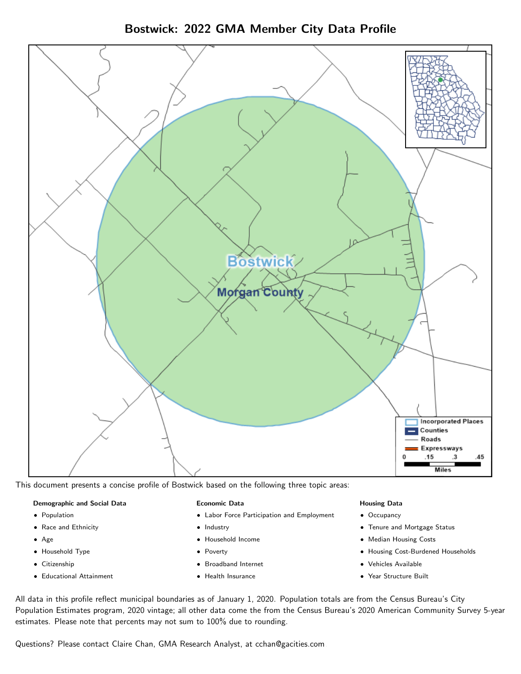Bostwick: 2022 GMA Member City Data Profile



This document presents a concise profile of Bostwick based on the following three topic areas:

## Demographic and Social Data

- **•** Population
- Race and Ethnicity
- Age
- Household Type
- **Citizenship**
- Educational Attainment

### Economic Data

- Labor Force Participation and Employment
- Industry
- Household Income
- Poverty
- Broadband Internet
- Health Insurance

### Housing Data

- Occupancy
- Tenure and Mortgage Status
- Median Housing Costs
- Housing Cost-Burdened Households
- Vehicles Available
- Year Structure Built

All data in this profile reflect municipal boundaries as of January 1, 2020. Population totals are from the Census Bureau's City Population Estimates program, 2020 vintage; all other data come the from the Census Bureau's 2020 American Community Survey 5-year estimates. Please note that percents may not sum to 100% due to rounding.

Questions? Please contact Claire Chan, GMA Research Analyst, at [cchan@gacities.com.](mailto:cchan@gacities.com)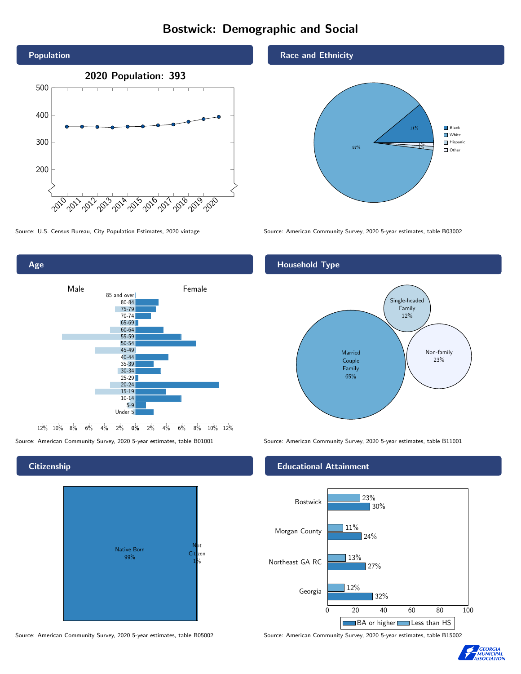## Bostwick: Demographic and Social





## **Citizenship**



Source: American Community Survey, 2020 5-year estimates, table B05002 Source: American Community Survey, 2020 5-year estimates, table B15002

## Race and Ethnicity



Source: U.S. Census Bureau, City Population Estimates, 2020 vintage Source: American Community Survey, 2020 5-year estimates, table B03002

## Household Type



Source: American Community Survey, 2020 5-year estimates, table B01001 Source: American Community Survey, 2020 5-year estimates, table B11001

## Educational Attainment



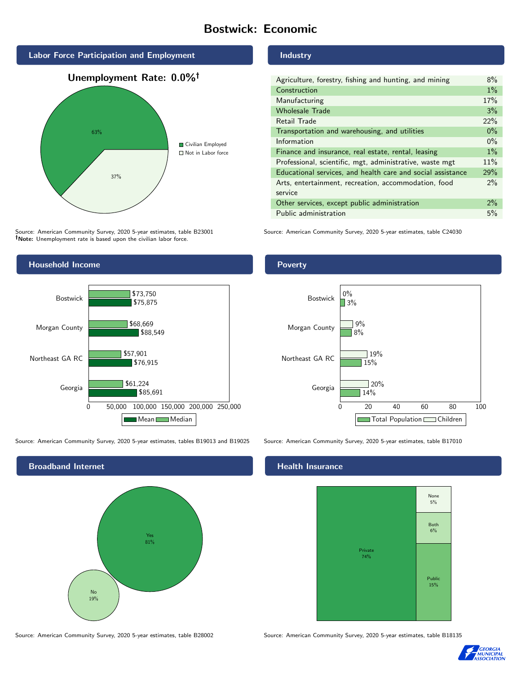## Bostwick: Economic



Source: American Community Survey, 2020 5-year estimates, table B23001 Note: Unemployment rate is based upon the civilian labor force.



Source: American Community Survey, 2020 5-year estimates, tables B19013 and B19025 Source: American Community Survey, 2020 5-year estimates, table B17010



Industry

| Agriculture, forestry, fishing and hunting, and mining      | 8%    |
|-------------------------------------------------------------|-------|
| Construction                                                | $1\%$ |
| Manufacturing                                               | 17%   |
| <b>Wholesale Trade</b>                                      | 3%    |
| Retail Trade                                                | 22%   |
| Transportation and warehousing, and utilities               | $0\%$ |
| Information                                                 | $0\%$ |
| Finance and insurance, real estate, rental, leasing         | $1\%$ |
| Professional, scientific, mgt, administrative, waste mgt    | 11%   |
| Educational services, and health care and social assistance | 29%   |
| Arts, entertainment, recreation, accommodation, food        | $2\%$ |
| service                                                     |       |
| Other services, except public administration                | $2\%$ |
| Public administration                                       | 5%    |

Source: American Community Survey, 2020 5-year estimates, table C24030





## **Health Insurance**



Source: American Community Survey, 2020 5-year estimates, table B28002 Source: American Community Survey, 2020 5-year estimates, table B18135